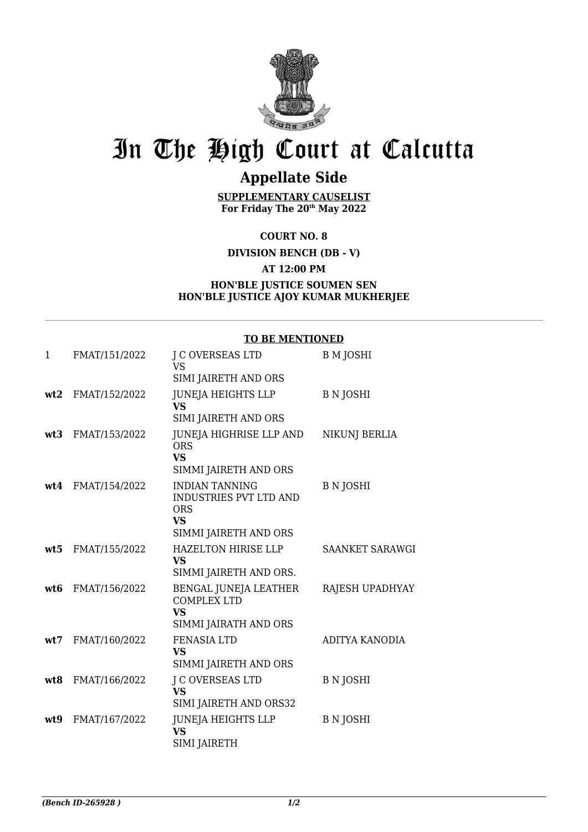

## In The High Court at Calcutta

## **Appellate Side**

**SUPPLEMENTARY CAUSELIST For Friday The 20th May 2022**

**COURT NO. 8**

**DIVISION BENCH (DB - V)**

**AT 12:00 PM**

## **HON'BLE JUSTICE SOUMEN SEN HON'BLE JUSTICE AJOY KUMAR MUKHERJEE**

## **TO BE MENTIONED**

| 1   | FMAT/151/2022     | J C OVERSEAS LTD<br><b>VS</b>                                                                       | <b>B</b> M JOSHI       |
|-----|-------------------|-----------------------------------------------------------------------------------------------------|------------------------|
|     |                   | SIMI JAIRETH AND ORS                                                                                |                        |
| wt2 | FMAT/152/2022     | <b>JUNEJA HEIGHTS LLP</b><br>VS<br>SIMI JAIRETH AND ORS                                             | <b>B</b> N JOSHI       |
| wt3 | FMAT/153/2022     | JUNEJA HIGHRISE LLP AND<br><b>ORS</b><br><b>VS</b><br>SIMMI JAIRETH AND ORS                         | NIKUNJ BERLIA          |
|     | wt4 FMAT/154/2022 | <b>INDIAN TANNING</b><br>INDUSTRIES PVT LTD AND<br><b>ORS</b><br><b>VS</b><br>SIMMI JAIRETH AND ORS | <b>B</b> N JOSHI       |
| wt5 | FMAT/155/2022     | HAZELTON HIRISE LLP<br>VS<br>SIMMI JAIRETH AND ORS.                                                 | <b>SAANKET SARAWGI</b> |
| wt6 | FMAT/156/2022     | BENGAL JUNEJA LEATHER<br><b>COMPLEX LTD</b><br><b>VS</b><br>SIMMI JAIRATH AND ORS                   | <b>RAJESH UPADHYAY</b> |
| wt7 | FMAT/160/2022     | <b>FENASIA LTD</b><br><b>VS</b><br>SIMMI JAIRETH AND ORS                                            | ADITYA KANODIA         |
| wt8 | FMAT/166/2022     | <b>J C OVERSEAS LTD</b><br><b>VS</b><br>SIMI JAIRETH AND ORS32                                      | <b>B</b> N JOSHI       |
| wt9 | FMAT/167/2022     | <b>JUNEJA HEIGHTS LLP</b><br><b>VS</b><br><b>SIMI JAIRETH</b>                                       | <b>B N JOSHI</b>       |